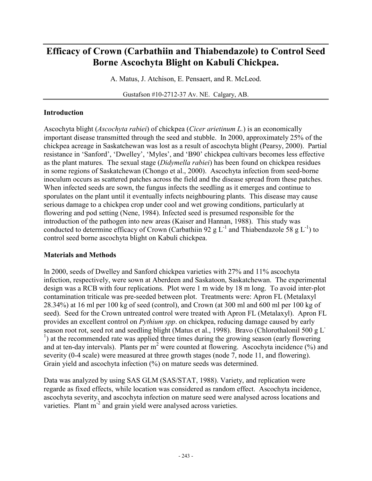# **Efficacy of Crown (Carbathiin and Thiabendazole) to Control Seed Borne Ascochyta Blight on Kabuli Chickpea.**

A. Matus, J. Atchison, E. Pensaert, and R. McLeod.

Gustafson #10-2712-37 Av. NE. Calgary, AB.

## **Introduction**

Ascochyta blight (*Ascochyta rabiei*) of chickpea (*Cicer arietinum L.*) is an economically important disease transmitted through the seed and stubble. In 2000, approximately 25% of the chickpea acreage in Saskatchewan was lost as a result of ascochyta blight (Pearsy, 2000). Partial resistance in 'Sanford', 'Dwelley', 'Myles', and 'B90' chickpea cultivars becomes less effective as the plant matures. The sexual stage (*Didymella rabiei*) has been found on chickpea residues in some regions of Saskatchewan (Chongo et al., 2000). Ascochyta infection from seed-borne inoculum occurs as scattered patches across the field and the disease spread from these patches. When infected seeds are sown, the fungus infects the seedling as it emerges and continue to sporulates on the plant until it eventually infects neighbouring plants. This disease may cause serious damage to a chickpea crop under cool and wet growing conditions, particularly at flowering and pod setting (Nene, 1984). Infected seed is presumed responsible for the introduction of the pathogen into new areas (Kaiser and Hannan, 1988). This study was conducted to determine efficacy of Crown (Carbathiin 92 g  $L^{-1}$  and Thiabendazole 58 g  $L^{-1}$ ) to control seed borne ascochyta blight on Kabuli chickpea.

## **Materials and Methods**

In 2000, seeds of Dwelley and Sanford chickpea varieties with 27% and 11% ascochyta infection, respectively, were sown at Aberdeen and Saskatoon, Saskatchewan. The experimental design was a RCB with four replications. Plot were 1 m wide by 18 m long. To avoid inter-plot contamination triticale was pre-seeded between plot. Treatments were: Apron FL (Metalaxyl 28.34%) at 16 ml per 100 kg of seed (control), and Crown (at 300 ml and 600 ml per 100 kg of seed). Seed for the Crown untreated control were treated with Apron FL (Metalaxyl). Apron FL provides an excellent control on *Pythium spp*. on chickpea, reducing damage caused by early season root rot, seed rot and seedling blight (Matus et al., 1998). Bravo (Chlorothalonil 500 g L-<sup>1</sup>) at the recommended rate was applied three times during the growing season (early flowering and at ten-day intervals). Plants per  $m^2$  were counted at flowering. Ascochyta incidence  $(\%)$  and severity (0-4 scale) were measured at three growth stages (node 7, node 11, and flowering). Grain yield and ascochyta infection  $\frac{6}{6}$  on mature seeds was determined.

Data was analyzed by using SAS GLM (SAS/STAT, 1988). Variety, and replication were regarde as fixed effects, while location was considered as random effect. Ascochyta incidence, ascochyta severity, and ascochyta infection on mature seed were analysed across locations and varieties. Plant m<sup>-2</sup> and grain yield were analysed across varieties.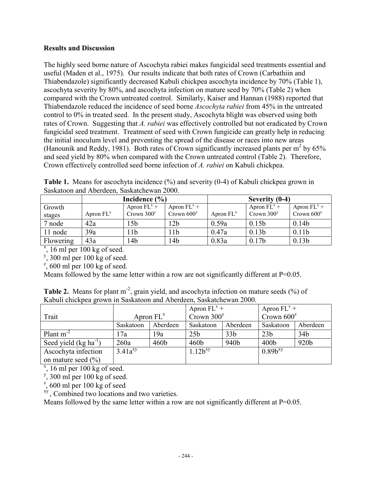## **Results and Discussion**

The highly seed borne nature of Ascochyta rabiei makes fungicidal seed treatments essential and useful (Maden et al., 1975). Our results indicate that both rates of Crown (Carbathiin and Thiabendazole) significantly decreased Kabuli chickpea ascochyta incidence by 70% (Table 1), ascochyta severity by 80%, and ascochyta infection on mature seed by 70% (Table 2) when compared with the Crown untreated control. Similarly, Kaiser and Hannan (1988) reported that Thiabendazole reduced the incidence of seed borne *Ascochyta rabiei* from 45% in the untreated control to 0% in treated seed. In the present study, Ascochyta blight was observed using both rates of Crown. Suggesting that *A. rabiei* was effectively controlled but not eradicated by Crown fungicidal seed treatment. Treatment of seed with Crown fungicide can greatly help in reducing the initial inoculum level and preventing the spread of the disease or races into new areas (Hanounik and Reddy, 1981). Both rates of Crown significantly increased plants per  $m^2$  by 65% and seed yield by 80% when compared with the Crown untreated control (Table 2). Therefore, Crown effectively controlled seed borne infection of *A. rabiei* on Kabuli chickpea.

| <b>Table 1.</b> Means for ascochyta incidence $(\%)$ and severity $(0-4)$ of Kabuli chickpea grown in |  |
|-------------------------------------------------------------------------------------------------------|--|
| Saskatoon and Aberdeen, Saskatchewan 2000.                                                            |  |

|           | Incidence $(\% )$ |                  |                  | Severity (0-4) |                   |                   |  |
|-----------|-------------------|------------------|------------------|----------------|-------------------|-------------------|--|
| Growth    |                   | Apron $FL^{x}$ + | Apron $FL^{x}$ + |                | Apron $FL^{x}$ +  | Apron $FL^{x}$ +  |  |
| stages    | Apron $FL^x$      | Crown $300y$     | Crown $600^z$    | Apron $FL^x$   | Crown $300y$      | Crown $600^z$     |  |
| 7 node    | 42a               | 5b               | l 2b             | 0.59a          | 0.15 <sub>b</sub> | 0.14 <sub>b</sub> |  |
| 11 node   | 39a               | 1 <sub>b</sub>   | 11b              | 0.47a          | 0.13 <sub>b</sub> | 0.11 <sub>b</sub> |  |
| Flowering | 43a               | 4b               | 14b              | 0.83a          | 0.17 <sub>b</sub> | 0.13 <sub>b</sub> |  |

 $\frac{x}{x}$ , 16 ml per 100 kg of seed.

 $y'$ , 300 ml per 100 kg of seed.

 $\frac{z}{2}$ , 600 ml per 100 kg of seed.

Means followed by the same letter within a row are not significantly different at  $P=0.05$ .

|  | <b>Table 2.</b> Means for plant $m^{-2}$ , grain yield, and ascochyta infection on mature seeds $(\%)$ of |  |
|--|-----------------------------------------------------------------------------------------------------------|--|
|  | Kabuli chickpea grown in Saskatoon and Aberdeen, Saskatchewan 2000.                                       |  |

|                           |              |                  | Apron $FL^{x}$ + |                  | Apron $FL^{x}$ + |          |
|---------------------------|--------------|------------------|------------------|------------------|------------------|----------|
| Trait                     | Apron $FL^x$ |                  | Crown $300y$     |                  | Crown $600^z$    |          |
|                           | Saskatoon    | Aberdeen         | Saskatoon        | Aberdeen         | Saskatoon        | Aberdeen |
| Plant $m^{-2}$            | 17a          | 19a              | 25 <sub>b</sub>  | 33 <sub>b</sub>  | 23 <sub>b</sub>  | 34b      |
| Seed yield $(kg ha^{-1})$ | 260a         | 460 <sub>b</sub> | 460 <sub>b</sub> | 940 <sub>b</sub> | 400 <sub>b</sub> | 920b     |
| Ascochyta infection       | $3.41a^{xy}$ |                  | $1.12b^{xy}$     |                  | $0.89b^{xy}$     |          |
| on mature seed $(\% )$    |              |                  |                  |                  |                  |          |

 $x<sub>y</sub>$ , 16 ml per 100 kg of seed.<br>y, 300 ml per 100 kg of seed.

 $z$ , 600 ml per 100 kg of seed

xy , Combined two locations and two varieties.

Means followed by the same letter within a row are not significantly different at  $P=0.05$ .